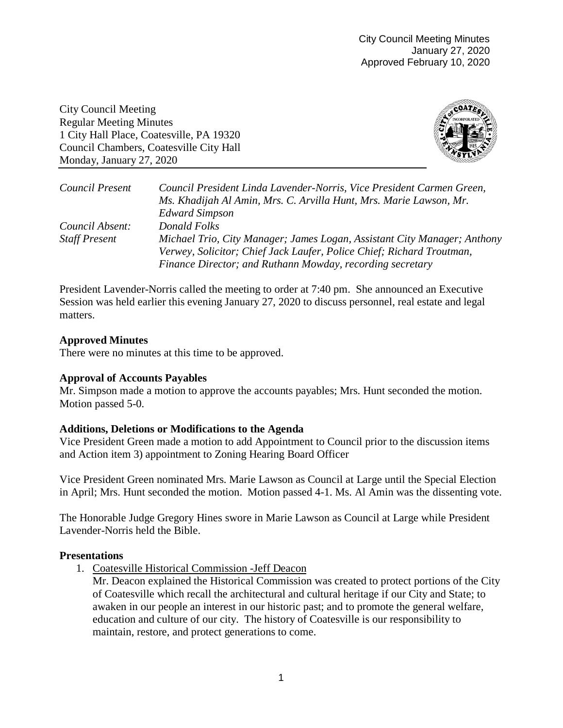City Council Meeting Regular Meeting Minutes 1 City Hall Place, Coatesville, PA 19320 Council Chambers, Coatesville City Hall Monday, January 27, 2020



| Council Present      | Council President Linda Lavender-Norris, Vice President Carmen Green,    |
|----------------------|--------------------------------------------------------------------------|
|                      | Ms. Khadijah Al Amin, Mrs. C. Arvilla Hunt, Mrs. Marie Lawson, Mr.       |
|                      | <b>Edward Simpson</b>                                                    |
| Council Absent:      | Donald Folks                                                             |
| <b>Staff Present</b> | Michael Trio, City Manager; James Logan, Assistant City Manager; Anthony |
|                      | Verwey, Solicitor; Chief Jack Laufer, Police Chief; Richard Troutman,    |
|                      | Finance Director; and Ruthann Mowday, recording secretary                |

President Lavender-Norris called the meeting to order at 7:40 pm. She announced an Executive Session was held earlier this evening January 27, 2020 to discuss personnel, real estate and legal matters.

# **Approved Minutes**

There were no minutes at this time to be approved.

## **Approval of Accounts Payables**

Mr. Simpson made a motion to approve the accounts payables; Mrs. Hunt seconded the motion. Motion passed 5-0.

## **Additions, Deletions or Modifications to the Agenda**

Vice President Green made a motion to add Appointment to Council prior to the discussion items and Action item 3) appointment to Zoning Hearing Board Officer

Vice President Green nominated Mrs. Marie Lawson as Council at Large until the Special Election in April; Mrs. Hunt seconded the motion. Motion passed 4-1. Ms. Al Amin was the dissenting vote.

The Honorable Judge Gregory Hines swore in Marie Lawson as Council at Large while President Lavender-Norris held the Bible.

## **Presentations**

1. Coatesville Historical Commission -Jeff Deacon

Mr. Deacon explained the Historical Commission was created to protect portions of the City of Coatesville which recall the architectural and cultural heritage if our City and State; to awaken in our people an interest in our historic past; and to promote the general welfare, education and culture of our city. The history of Coatesville is our responsibility to maintain, restore, and protect generations to come.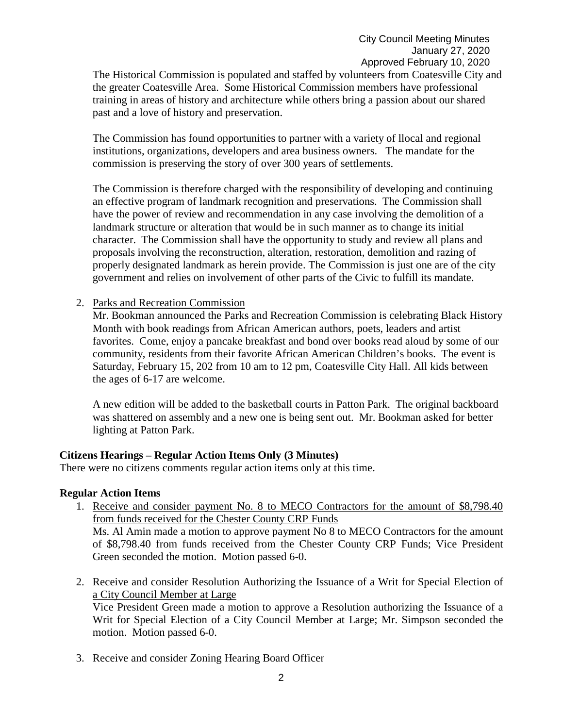The Historical Commission is populated and staffed by volunteers from Coatesville City and the greater Coatesville Area. Some Historical Commission members have professional training in areas of history and architecture while others bring a passion about our shared past and a love of history and preservation.

The Commission has found opportunities to partner with a variety of llocal and regional institutions, organizations, developers and area business owners. The mandate for the commission is preserving the story of over 300 years of settlements.

The Commission is therefore charged with the responsibility of developing and continuing an effective program of landmark recognition and preservations. The Commission shall have the power of review and recommendation in any case involving the demolition of a landmark structure or alteration that would be in such manner as to change its initial character. The Commission shall have the opportunity to study and review all plans and proposals involving the reconstruction, alteration, restoration, demolition and razing of properly designated landmark as herein provide. The Commission is just one are of the city government and relies on involvement of other parts of the Civic to fulfill its mandate.

## 2. Parks and Recreation Commission

Mr. Bookman announced the Parks and Recreation Commission is celebrating Black History Month with book readings from African American authors, poets, leaders and artist favorites. Come, enjoy a pancake breakfast and bond over books read aloud by some of our community, residents from their favorite African American Children's books. The event is Saturday, February 15, 202 from 10 am to 12 pm, Coatesville City Hall. All kids between the ages of 6-17 are welcome.

A new edition will be added to the basketball courts in Patton Park. The original backboard was shattered on assembly and a new one is being sent out. Mr. Bookman asked for better lighting at Patton Park.

## **Citizens Hearings – Regular Action Items Only (3 Minutes)**

There were no citizens comments regular action items only at this time.

## **Regular Action Items**

- 1. Receive and consider payment No. 8 to MECO Contractors for the amount of \$8,798.40 from funds received for the Chester County CRP Funds Ms. Al Amin made a motion to approve payment No 8 to MECO Contractors for the amount of \$8,798.40 from funds received from the Chester County CRP Funds; Vice President Green seconded the motion. Motion passed 6-0.
- 2. Receive and consider Resolution Authorizing the Issuance of a Writ for Special Election of a City Council Member at Large Vice President Green made a motion to approve a Resolution authorizing the Issuance of a

Writ for Special Election of a City Council Member at Large; Mr. Simpson seconded the motion. Motion passed 6-0.

3. Receive and consider Zoning Hearing Board Officer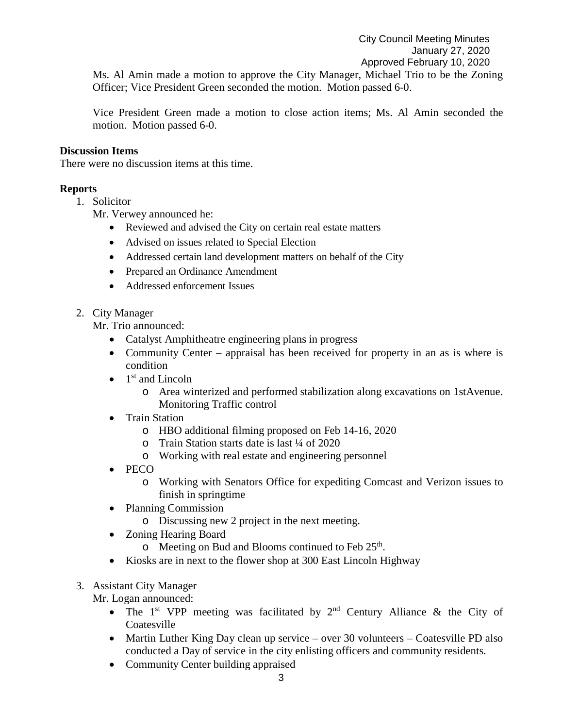Ms. Al Amin made a motion to approve the City Manager, Michael Trio to be the Zoning Officer; Vice President Green seconded the motion. Motion passed 6-0.

Vice President Green made a motion to close action items; Ms. Al Amin seconded the motion. Motion passed 6-0.

## **Discussion Items**

There were no discussion items at this time.

## **Reports**

1. Solicitor

Mr. Verwey announced he:

- Reviewed and advised the City on certain real estate matters
- Advised on issues related to Special Election
- Addressed certain land development matters on behalf of the City
- Prepared an Ordinance Amendment
- Addressed enforcement Issues
- 2. City Manager

Mr. Trio announced:

- Catalyst Amphitheatre engineering plans in progress
- Community Center appraisal has been received for property in an as is where is condition
- $\bullet$  1<sup>st</sup> and Lincoln
	- o Area winterized and performed stabilization along excavations on 1stAvenue. Monitoring Traffic control
- Train Station
	- o HBO additional filming proposed on Feb 14-16, 2020
	- o Train Station starts date is last ¼ of 2020
	- o Working with real estate and engineering personnel
- PECO
	- o Working with Senators Office for expediting Comcast and Verizon issues to finish in springtime
- Planning Commission
	- o Discussing new 2 project in the next meeting.
- Zoning Hearing Board
	- $\circ$  Meeting on Bud and Blooms continued to Feb 25<sup>th</sup>.
- Kiosks are in next to the flower shop at 300 East Lincoln Highway
- 3. Assistant City Manager

Mr. Logan announced:

- The 1<sup>st</sup> VPP meeting was facilitated by  $2<sup>nd</sup>$  Century Alliance & the City of **Coatesville**
- Martin Luther King Day clean up service over 30 volunteers Coatesville PD also conducted a Day of service in the city enlisting officers and community residents.
- Community Center building appraised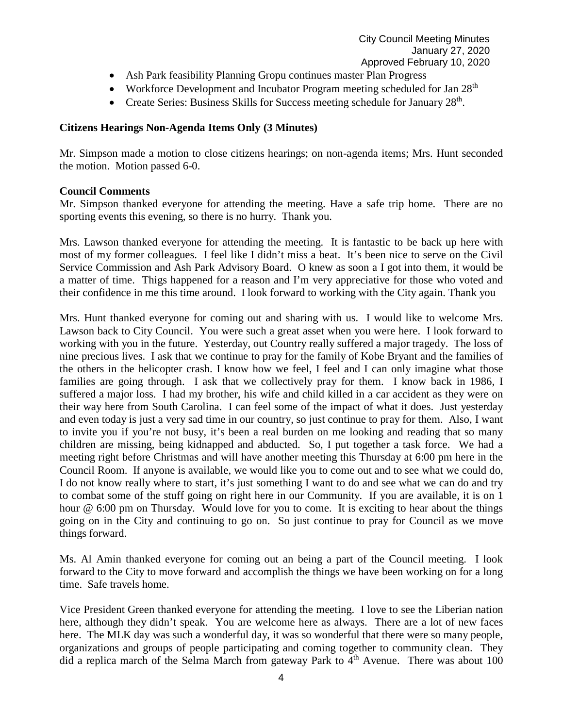- Ash Park feasibility Planning Gropu continues master Plan Progress
- Workforce Development and Incubator Program meeting scheduled for Jan 28<sup>th</sup>
- Create Series: Business Skills for Success meeting schedule for January 28<sup>th</sup>.

## **Citizens Hearings Non-Agenda Items Only (3 Minutes)**

Mr. Simpson made a motion to close citizens hearings; on non-agenda items; Mrs. Hunt seconded the motion. Motion passed 6-0.

#### **Council Comments**

Mr. Simpson thanked everyone for attending the meeting. Have a safe trip home. There are no sporting events this evening, so there is no hurry. Thank you.

Mrs. Lawson thanked everyone for attending the meeting. It is fantastic to be back up here with most of my former colleagues. I feel like I didn't miss a beat. It's been nice to serve on the Civil Service Commission and Ash Park Advisory Board. O knew as soon a I got into them, it would be a matter of time. Thigs happened for a reason and I'm very appreciative for those who voted and their confidence in me this time around. I look forward to working with the City again. Thank you

Mrs. Hunt thanked everyone for coming out and sharing with us. I would like to welcome Mrs. Lawson back to City Council. You were such a great asset when you were here. I look forward to working with you in the future. Yesterday, out Country really suffered a major tragedy. The loss of nine precious lives. I ask that we continue to pray for the family of Kobe Bryant and the families of the others in the helicopter crash. I know how we feel, I feel and I can only imagine what those families are going through. I ask that we collectively pray for them. I know back in 1986, I suffered a major loss. I had my brother, his wife and child killed in a car accident as they were on their way here from South Carolina. I can feel some of the impact of what it does. Just yesterday and even today is just a very sad time in our country, so just continue to pray for them. Also, I want to invite you if you're not busy, it's been a real burden on me looking and reading that so many children are missing, being kidnapped and abducted. So, I put together a task force. We had a meeting right before Christmas and will have another meeting this Thursday at 6:00 pm here in the Council Room. If anyone is available, we would like you to come out and to see what we could do, I do not know really where to start, it's just something I want to do and see what we can do and try to combat some of the stuff going on right here in our Community. If you are available, it is on 1 hour @ 6:00 pm on Thursday. Would love for you to come. It is exciting to hear about the things going on in the City and continuing to go on. So just continue to pray for Council as we move things forward.

Ms. Al Amin thanked everyone for coming out an being a part of the Council meeting. I look forward to the City to move forward and accomplish the things we have been working on for a long time. Safe travels home.

Vice President Green thanked everyone for attending the meeting. I love to see the Liberian nation here, although they didn't speak. You are welcome here as always. There are a lot of new faces here. The MLK day was such a wonderful day, it was so wonderful that there were so many people, organizations and groups of people participating and coming together to community clean. They did a replica march of the Selma March from gateway Park to  $\overline{4}^{th}$  Avenue. There was about 100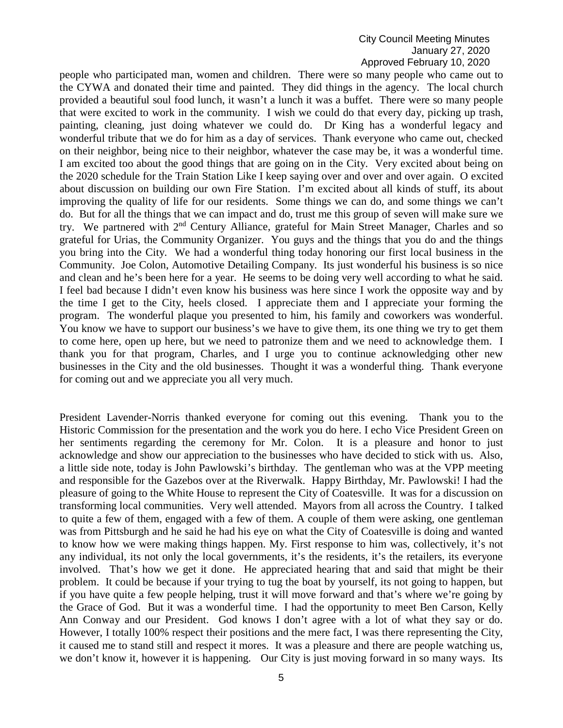people who participated man, women and children. There were so many people who came out to the CYWA and donated their time and painted. They did things in the agency. The local church provided a beautiful soul food lunch, it wasn't a lunch it was a buffet. There were so many people that were excited to work in the community. I wish we could do that every day, picking up trash, painting, cleaning, just doing whatever we could do. Dr King has a wonderful legacy and wonderful tribute that we do for him as a day of services. Thank everyone who came out, checked on their neighbor, being nice to their neighbor, whatever the case may be, it was a wonderful time. I am excited too about the good things that are going on in the City. Very excited about being on the 2020 schedule for the Train Station Like I keep saying over and over and over again. O excited about discussion on building our own Fire Station. I'm excited about all kinds of stuff, its about improving the quality of life for our residents. Some things we can do, and some things we can't do. But for all the things that we can impact and do, trust me this group of seven will make sure we try. We partnered with 2<sup>nd</sup> Century Alliance, grateful for Main Street Manager, Charles and so grateful for Urias, the Community Organizer. You guys and the things that you do and the things you bring into the City. We had a wonderful thing today honoring our first local business in the Community. Joe Colon, Automotive Detailing Company. Its just wonderful his business is so nice and clean and he's been here for a year. He seems to be doing very well according to what he said. I feel bad because I didn't even know his business was here since I work the opposite way and by the time I get to the City, heels closed. I appreciate them and I appreciate your forming the program. The wonderful plaque you presented to him, his family and coworkers was wonderful. You know we have to support our business's we have to give them, its one thing we try to get them to come here, open up here, but we need to patronize them and we need to acknowledge them. I thank you for that program, Charles, and I urge you to continue acknowledging other new businesses in the City and the old businesses. Thought it was a wonderful thing. Thank everyone for coming out and we appreciate you all very much.

President Lavender-Norris thanked everyone for coming out this evening. Thank you to the Historic Commission for the presentation and the work you do here. I echo Vice President Green on her sentiments regarding the ceremony for Mr. Colon. It is a pleasure and honor to just acknowledge and show our appreciation to the businesses who have decided to stick with us. Also, a little side note, today is John Pawlowski's birthday. The gentleman who was at the VPP meeting and responsible for the Gazebos over at the Riverwalk. Happy Birthday, Mr. Pawlowski! I had the pleasure of going to the White House to represent the City of Coatesville. It was for a discussion on transforming local communities. Very well attended. Mayors from all across the Country. I talked to quite a few of them, engaged with a few of them. A couple of them were asking, one gentleman was from Pittsburgh and he said he had his eye on what the City of Coatesville is doing and wanted to know how we were making things happen. My. First response to him was, collectively, it's not any individual, its not only the local governments, it's the residents, it's the retailers, its everyone involved. That's how we get it done. He appreciated hearing that and said that might be their problem. It could be because if your trying to tug the boat by yourself, its not going to happen, but if you have quite a few people helping, trust it will move forward and that's where we're going by the Grace of God. But it was a wonderful time. I had the opportunity to meet Ben Carson, Kelly Ann Conway and our President. God knows I don't agree with a lot of what they say or do. However, I totally 100% respect their positions and the mere fact, I was there representing the City, it caused me to stand still and respect it mores. It was a pleasure and there are people watching us, we don't know it, however it is happening. Our City is just moving forward in so many ways. Its